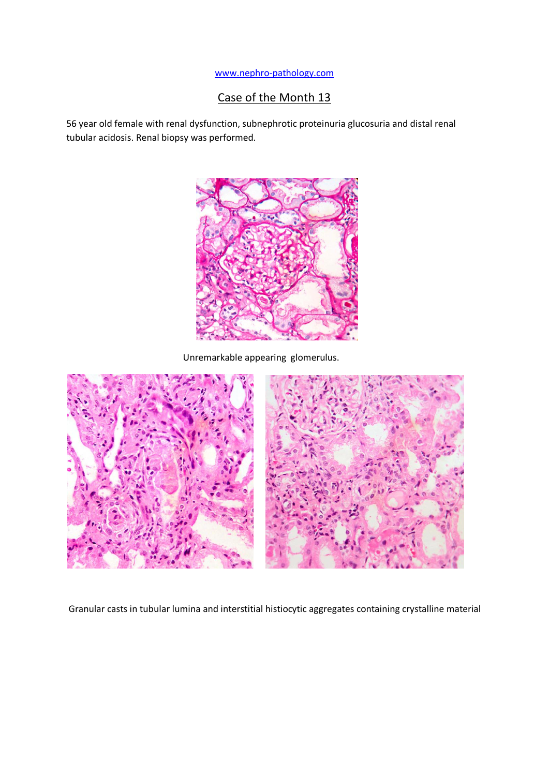## [www.nephro-pathology.com](http://www.nephro-pathology.com/)

## Case of the Month 13

56 year old female with renal dysfunction, subnephrotic proteinuria glucosuria and distal renal tubular acidosis. Renal biopsy was performed.



Unremarkable appearing glomerulus.



Granular casts in tubular lumina and interstitial histiocytic aggregates containing crystalline material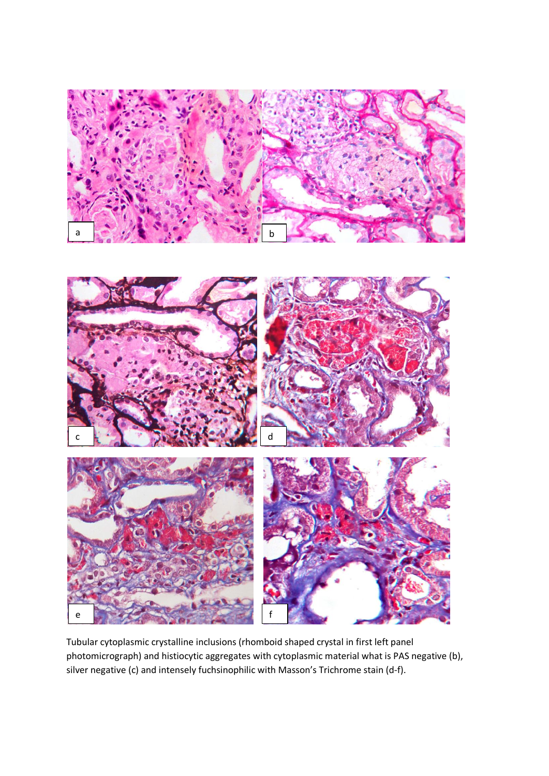

Tubular cytoplasmic crystalline inclusions (rhomboid shaped crystal in first left panel photomicrograph) and histiocytic aggregates with cytoplasmic material what is PAS negative (b), silver negative (c) and intensely fuchsinophilic with Masson's Trichrome stain (d-f).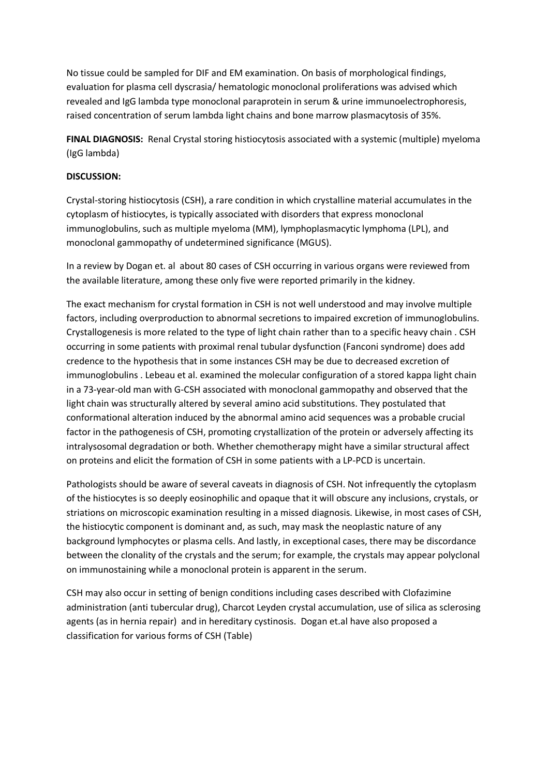No tissue could be sampled for DIF and EM examination. On basis of morphological findings, evaluation for plasma cell dyscrasia/ hematologic monoclonal proliferations was advised which revealed and IgG lambda type monoclonal paraprotein in serum & urine immunoelectrophoresis, raised concentration of serum lambda light chains and bone marrow plasmacytosis of 35%.

**FINAL DIAGNOSIS:** Renal Crystal storing histiocytosis associated with a systemic (multiple) myeloma (IgG lambda)

## **DISCUSSION:**

Crystal-storing histiocytosis (CSH), a rare condition in which crystalline material accumulates in the cytoplasm of histiocytes, is typically associated with disorders that express monoclonal immunoglobulins, such as multiple myeloma (MM), lymphoplasmacytic lymphoma (LPL), and monoclonal gammopathy of undetermined significance (MGUS).

In a review by Dogan et. al about 80 cases of CSH occurring in various organs were reviewed from the available literature, among these only five were reported primarily in the kidney.

The exact mechanism for crystal formation in CSH is not well understood and may involve multiple factors, including overproduction to abnormal secretions to impaired excretion of immunoglobulins. Crystallogenesis is more related to the type of light chain rather than to a specific heavy chain . CSH occurring in some patients with proximal renal tubular dysfunction (Fanconi syndrome) does add credence to the hypothesis that in some instances CSH may be due to decreased excretion of immunoglobulins . Lebeau et al. examined the molecular configuration of a stored kappa light chain in a 73-year-old man with G-CSH associated with monoclonal gammopathy and observed that the light chain was structurally altered by several amino acid substitutions. They postulated that conformational alteration induced by the abnormal amino acid sequences was a probable crucial factor in the pathogenesis of CSH, promoting crystallization of the protein or adversely affecting its intralysosomal degradation or both. Whether chemotherapy might have a similar structural affect on proteins and elicit the formation of CSH in some patients with a LP-PCD is uncertain.

Pathologists should be aware of several caveats in diagnosis of CSH. Not infrequently the cytoplasm of the histiocytes is so deeply eosinophilic and opaque that it will obscure any inclusions, crystals, or striations on microscopic examination resulting in a missed diagnosis. Likewise, in most cases of CSH, the histiocytic component is dominant and, as such, may mask the neoplastic nature of any background lymphocytes or plasma cells. And lastly, in exceptional cases, there may be discordance between the clonality of the crystals and the serum; for example, the crystals may appear polyclonal on immunostaining while a monoclonal protein is apparent in the serum.

CSH may also occur in setting of benign conditions including cases described with Clofazimine administration (anti tubercular drug), Charcot Leyden crystal accumulation, use of silica as sclerosing agents (as in hernia repair) and in hereditary cystinosis. Dogan et.al have also proposed a classification for various forms of CSH (Table)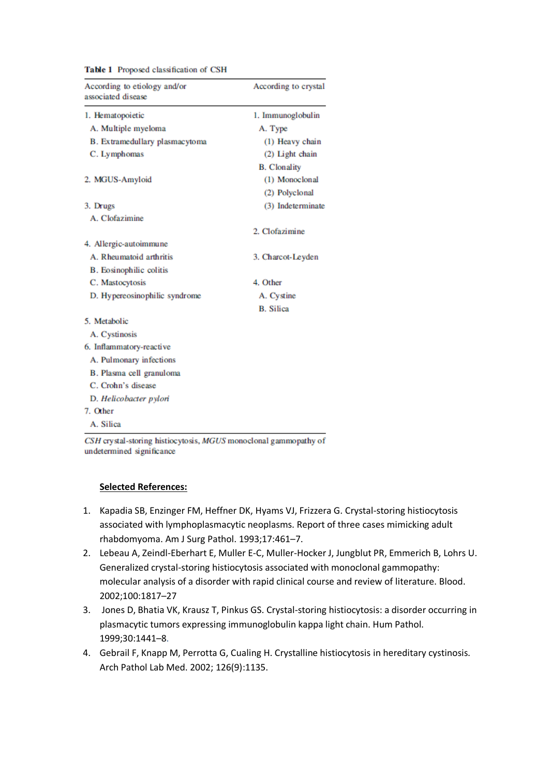| According to etiology and/or<br>associated disease | According to crystal |
|----------------------------------------------------|----------------------|
| 1. Hematopoietic                                   | 1. Immunoglobulin    |
| A. Multiple myeloma                                | A. Type              |
| B. Extramedullary plasmacytoma                     | (1) Heavy chain      |
| C. Lymphomas                                       | (2) Light chain      |
|                                                    | <b>B.</b> Clonality  |
| 2. MGUS-Amyloid                                    | (1) Monoclonal       |
|                                                    | (2) Polyclonal       |
| 3. Drugs                                           | (3) Indeterminate    |
| A. Clofazimine                                     |                      |
|                                                    | 2. Clofazimine       |
| 4. Allergic-autoimmune                             |                      |
| A. Rheumatoid arthritis                            | 3. Charcot-Leyden    |
| <b>B.</b> Eosinophilic colitis                     |                      |
| C. Mastocytosis                                    | 4. Other             |
| D. Hypereosinophilic syndrome                      | A. Cystine           |
|                                                    | <b>B.</b> Silica     |
| 5. Metabolic                                       |                      |
| A. Cystinosis                                      |                      |
| 6. Inflammatory-reactive                           |                      |
| A. Pulmonary infections                            |                      |
| B. Plasma cell granuloma                           |                      |
| C. Crohn's disease                                 |                      |
| D. Helicobacter pylori                             |                      |
| 7. Other                                           |                      |
| A. Silica                                          |                      |

Table 1 Proposed classification of CSH

CSH crystal-storing histiocytosis, MGUS monoclonal gammopathy of undetermined significance

## **Selected References:**

- 1. Kapadia SB, Enzinger FM, Heffner DK, Hyams VJ, Frizzera G. Crystal-storing histiocytosis associated with lymphoplasmacytic neoplasms. Report of three cases mimicking adult rhabdomyoma. Am J Surg Pathol. 1993;17:461–7.
- 2. Lebeau A, Zeindl-Eberhart E, Muller E-C, Muller-Hocker J, Jungblut PR, Emmerich B, Lohrs U. Generalized crystal-storing histiocytosis associated with monoclonal gammopathy: molecular analysis of a disorder with rapid clinical course and review of literature. Blood. 2002;100:1817–27
- 3. Jones D, Bhatia VK, Krausz T, Pinkus GS. Crystal-storing histiocytosis: a disorder occurring in plasmacytic tumors expressing immunoglobulin kappa light chain. Hum Pathol. 1999;30:1441–8.
- 4. Gebrail F, Knapp M, Perrotta G, Cualing H. Crystalline histiocytosis in hereditary cystinosis. Arch Pathol Lab Med. 2002; 126(9):1135.